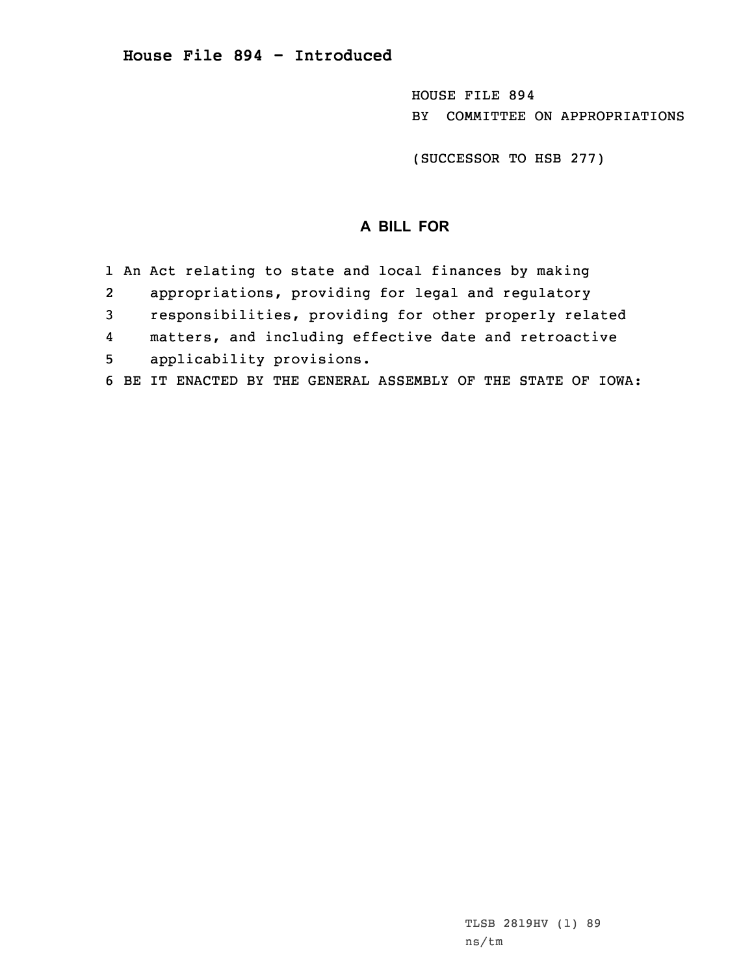HOUSE FILE 894 BY COMMITTEE ON APPROPRIATIONS

(SUCCESSOR TO HSB 277)

## **A BILL FOR**

- 1 An Act relating to state and local finances by making
- 2appropriations, providing for legal and regulatory
- 3 responsibilities, providing for other properly related
- 4matters, and including effective date and retroactive
- 5 applicability provisions.
- 6 BE IT ENACTED BY THE GENERAL ASSEMBLY OF THE STATE OF IOWA: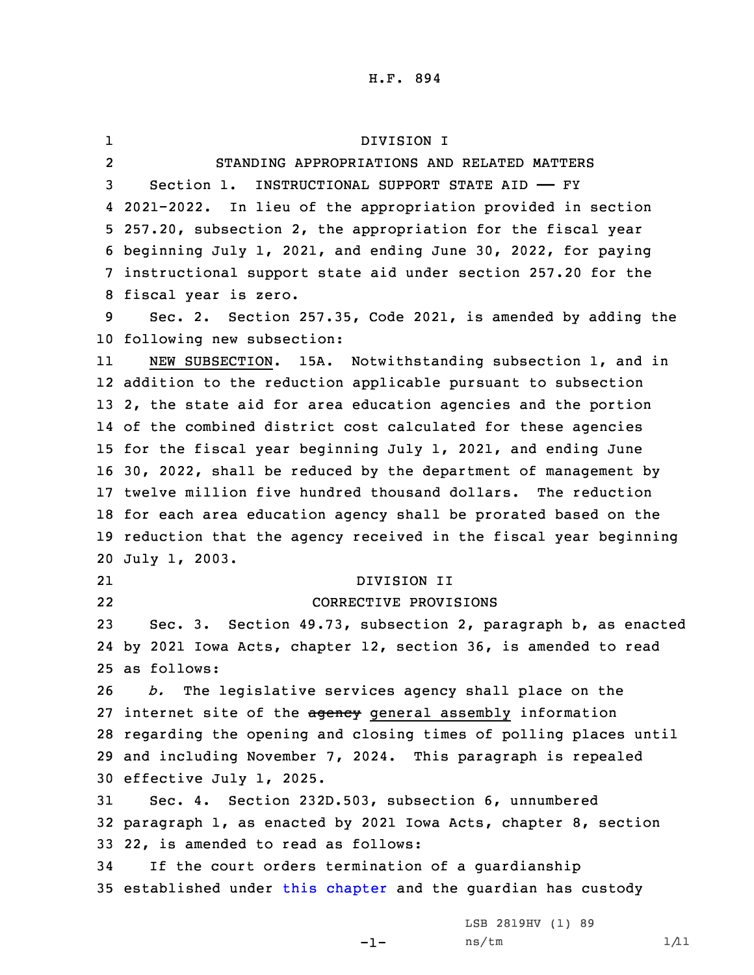1 DIVISION I 2 STANDING APPROPRIATIONS AND RELATED MATTERS Section 1. INSTRUCTIONAL SUPPORT STATE AID —— FY 2021-2022. In lieu of the appropriation provided in section 257.20, subsection 2, the appropriation for the fiscal year beginning July 1, 2021, and ending June 30, 2022, for paying instructional support state aid under section 257.20 for the fiscal year is zero. Sec. 2. Section 257.35, Code 2021, is amended by adding the following new subsection: 11 NEW SUBSECTION. 15A. Notwithstanding subsection 1, and in addition to the reduction applicable pursuant to subsection 2, the state aid for area education agencies and the portion of the combined district cost calculated for these agencies for the fiscal year beginning July 1, 2021, and ending June 30, 2022, shall be reduced by the department of management by twelve million five hundred thousand dollars. The reduction for each area education agency shall be prorated based on the reduction that the agency received in the fiscal year beginning July 1, 2003. 21 DIVISION II 22 CORRECTIVE PROVISIONS Sec. 3. Section 49.73, subsection 2, paragraph b, as enacted by 2021 Iowa Acts, chapter 12, section 36, is amended to read as follows: *b.* The legislative services agency shall place on the 27 internet site of the agency general assembly information regarding the opening and closing times of polling places until and including November 7, 2024. This paragraph is repealed effective July 1, 2025. Sec. 4. Section 232D.503, subsection 6, unnumbered paragraph 1, as enacted by 2021 Iowa Acts, chapter 8, section 22, is amended to read as follows: If the court orders termination of <sup>a</sup> guardianship 35 established under this [chapter](https://www.legis.iowa.gov/docs/code/2021/232D.pdf) and the guardian has custody LSB 2819HV (1) 89

-1-

 $ns/tm$   $1/11$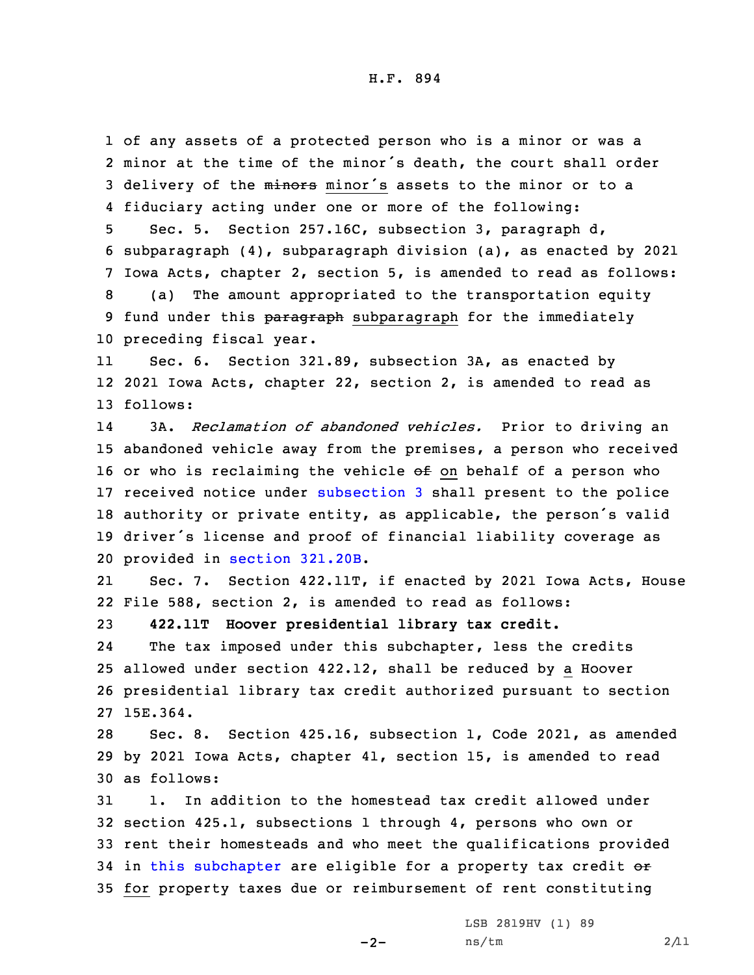of any assets of <sup>a</sup> protected person who is <sup>a</sup> minor or was <sup>a</sup> minor at the time of the minor's death, the court shall order 3 delivery of the minors minor's assets to the minor or to a fiduciary acting under one or more of the following: Sec. 5. Section 257.16C, subsection 3, paragraph d, subparagraph (4), subparagraph division (a), as enacted by 2021 Iowa Acts, chapter 2, section 5, is amended to read as follows: (a) The amount appropriated to the transportation equity 9 fund under this paragraph subparagraph for the immediately preceding fiscal year. 11 Sec. 6. Section 321.89, subsection 3A, as enacted by 2021 Iowa Acts, chapter 22, section 2, is amended to read as 13 follows:

14 3A. *Reclamation of abandoned vehicles.* Prior to driving an abandoned vehicle away from the premises, <sup>a</sup> person who received 16 or who is reclaiming the vehicle  $\Theta$  f on behalf of a person who received notice under [subsection](https://www.legis.iowa.gov/docs/code/2021/321.89.pdf) 3 shall present to the police authority or private entity, as applicable, the person's valid driver's license and proof of financial liability coverage as provided in section [321.20B](https://www.legis.iowa.gov/docs/code/2021/321.20B.pdf).

21 Sec. 7. Section 422.11T, if enacted by 2021 Iowa Acts, House 22 File 588, section 2, is amended to read as follows:

23 **422.11T Hoover presidential library tax credit.**

24The tax imposed under this subchapter, less the credits 25 allowed under section 422.12, shall be reduced by <sup>a</sup> Hoover 26 presidential library tax credit authorized pursuant to section 27 15E.364.

28 Sec. 8. Section 425.16, subsection 1, Code 2021, as amended 29 by 2021 Iowa Acts, chapter 41, section 15, is amended to read 30 as follows:

 1. In addition to the homestead tax credit allowed under section 425.1, subsections 1 through 4, persons who own or rent their homesteads and who meet the qualifications provided 34 in this [subchapter](https://www.legis.iowa.gov/docs/code/2021/425.pdf) are eligible for a property tax credit or for property taxes due or reimbursement of rent constituting

 $-2-$ 

LSB 2819HV (1) 89  $ns/tm$  2/11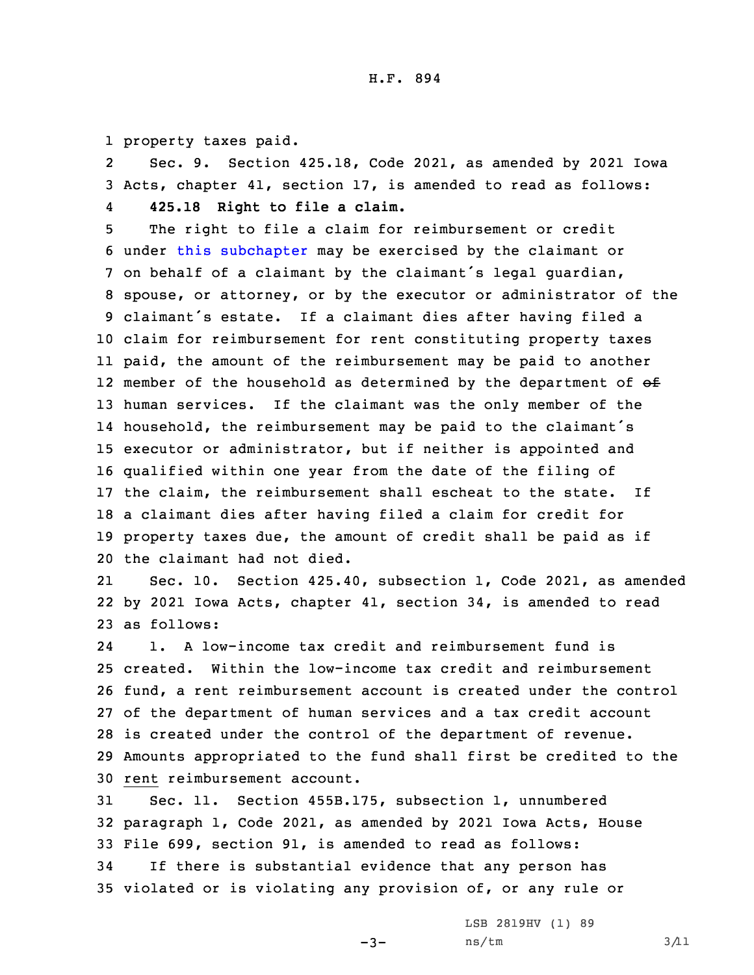1 property taxes paid.

2 Sec. 9. Section 425.18, Code 2021, as amended by 2021 Iowa 3 Acts, chapter 41, section 17, is amended to read as follows: 4**425.18 Right to file <sup>a</sup> claim.**

 The right to file <sup>a</sup> claim for reimbursement or credit under this [subchapter](https://www.legis.iowa.gov/docs/code/2021/425.pdf) may be exercised by the claimant or on behalf of <sup>a</sup> claimant by the claimant's legal guardian, spouse, or attorney, or by the executor or administrator of the claimant's estate. If <sup>a</sup> claimant dies after having filed <sup>a</sup> claim for reimbursement for rent constituting property taxes paid, the amount of the reimbursement may be paid to another 12 member of the household as determined by the department of  $\Theta$ f human services. If the claimant was the only member of the household, the reimbursement may be paid to the claimant's executor or administrator, but if neither is appointed and qualified within one year from the date of the filing of 17 the claim, the reimbursement shall escheat to the state. If <sup>a</sup> claimant dies after having filed <sup>a</sup> claim for credit for property taxes due, the amount of credit shall be paid as if the claimant had not died.

21 Sec. 10. Section 425.40, subsection 1, Code 2021, as amended 22 by 2021 Iowa Acts, chapter 41, section 34, is amended to read 23 as follows:

24 1. A low-income tax credit and reimbursement fund is created. Within the low-income tax credit and reimbursement fund, <sup>a</sup> rent reimbursement account is created under the control of the department of human services and <sup>a</sup> tax credit account is created under the control of the department of revenue. Amounts appropriated to the fund shall first be credited to the rent reimbursement account.

 Sec. 11. Section 455B.175, subsection 1, unnumbered paragraph 1, Code 2021, as amended by 2021 Iowa Acts, House File 699, section 91, is amended to read as follows: If there is substantial evidence that any person has violated or is violating any provision of, or any rule or

-3-

LSB 2819HV (1) 89  $ns/tm$   $3/11$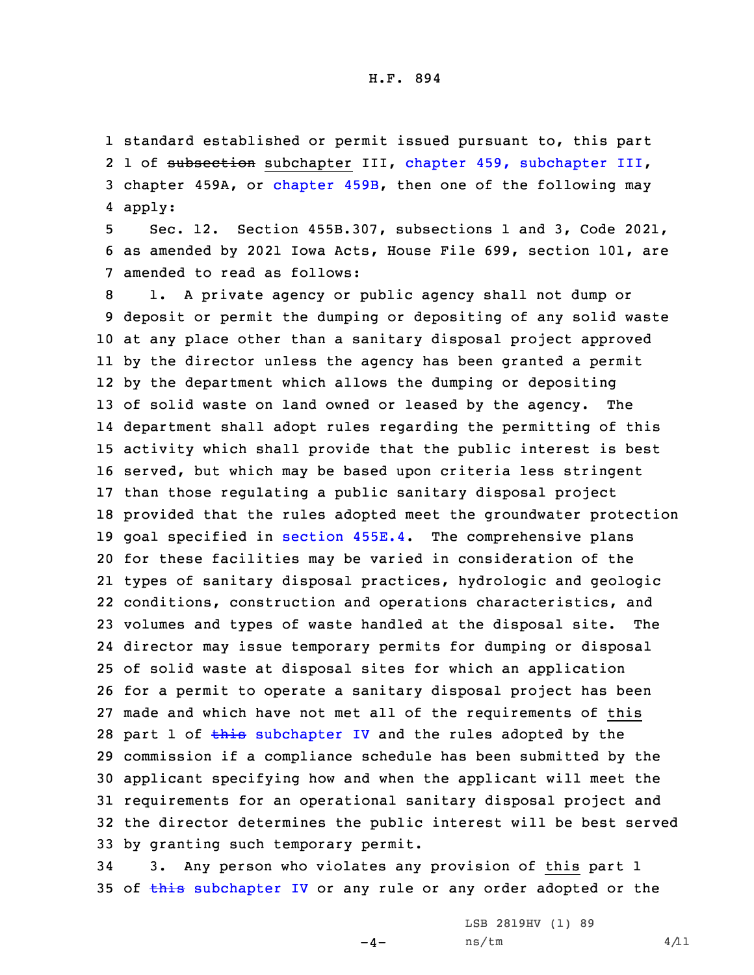1 standard established or permit issued pursuant to, this part 2 1 of subsection [subchapter](https://www.legis.iowa.gov/docs/code/2021/459.pdf) III, chapter 459, subchapter III, 3 chapter 459A, or [chapter](https://www.legis.iowa.gov/docs/code/2021/459B.pdf) 459B, then one of the following may 4 apply:

5 Sec. 12. Section 455B.307, subsections 1 and 3, Code 2021, 6 as amended by 2021 Iowa Acts, House File 699, section 101, are 7 amended to read as follows:

 1. <sup>A</sup> private agency or public agency shall not dump or deposit or permit the dumping or depositing of any solid waste at any place other than <sup>a</sup> sanitary disposal project approved by the director unless the agency has been granted <sup>a</sup> permit by the department which allows the dumping or depositing of solid waste on land owned or leased by the agency. The department shall adopt rules regarding the permitting of this activity which shall provide that the public interest is best served, but which may be based upon criteria less stringent than those regulating <sup>a</sup> public sanitary disposal project provided that the rules adopted meet the groundwater protection goal specified in [section](https://www.legis.iowa.gov/docs/code/2021/455E.4.pdf) 455E.4. The comprehensive plans for these facilities may be varied in consideration of the types of sanitary disposal practices, hydrologic and geologic conditions, construction and operations characteristics, and volumes and types of waste handled at the disposal site. The director may issue temporary permits for dumping or disposal of solid waste at disposal sites for which an application for <sup>a</sup> permit to operate <sup>a</sup> sanitary disposal project has been made and which have not met all of the requirements of this 28 part 1 of this [subchapter](https://www.legis.iowa.gov/docs/code/2021/455B.pdf) IV and the rules adopted by the commission if <sup>a</sup> compliance schedule has been submitted by the applicant specifying how and when the applicant will meet the requirements for an operational sanitary disposal project and the director determines the public interest will be best served by granting such temporary permit.

34 3. Any person who violates any provision of this part 1 35 of this [subchapter](https://www.legis.iowa.gov/docs/code/2021/455B.pdf) IV or any rule or any order adopted or the

 $-4-$ 

LSB 2819HV (1) 89  $ns/tm$  4/11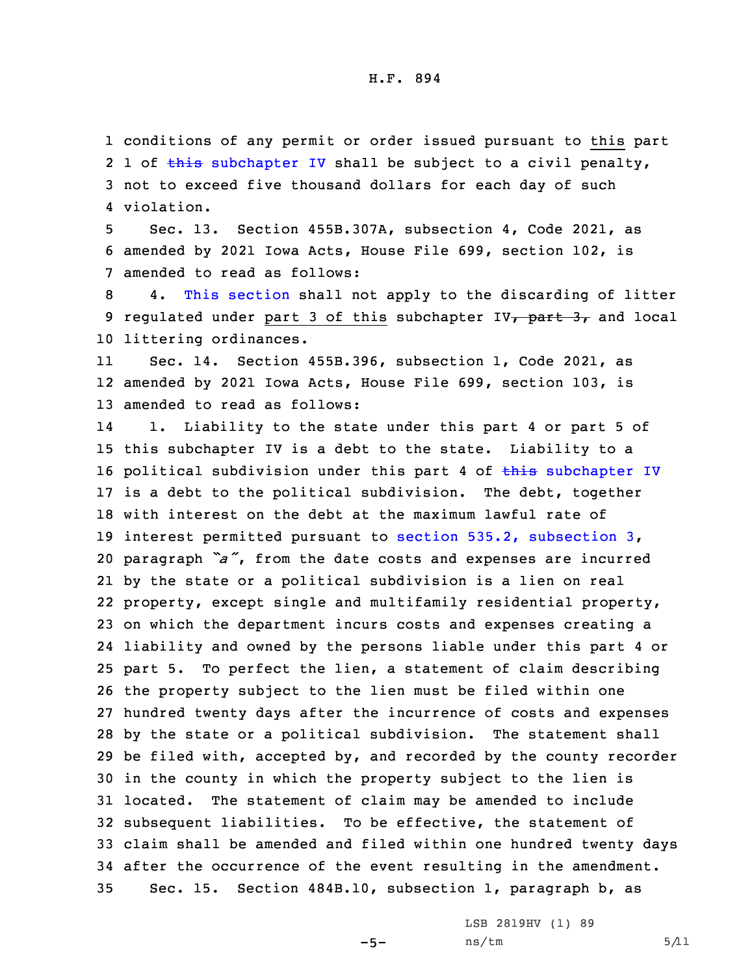conditions of any permit or order issued pursuant to this part 2 1 of this [subchapter](https://www.legis.iowa.gov/docs/code/2021/455B.pdf) IV shall be subject to a civil penalty, not to exceed five thousand dollars for each day of such violation.

5 Sec. 13. Section 455B.307A, subsection 4, Code 2021, as 6 amended by 2021 Iowa Acts, House File 699, section 102, is 7 amended to read as follows:

8 4. This [section](https://www.legis.iowa.gov/docs/code/2021/455B.307A.pdf) shall not apply to the discarding of litter 9 regulated under part 3 of this subchapter IV<sub>7</sub> part 3, and local 10 littering ordinances.

11 Sec. 14. Section 455B.396, subsection 1, Code 2021, as 12 amended by 2021 Iowa Acts, House File 699, section 103, is 13 amended to read as follows:

14 1. Liability to the state under this part 4 or part 5 of this subchapter IV is <sup>a</sup> debt to the state. Liability to <sup>a</sup> 16 political subdivision under this part 4 of  $\frac{1}{2}$  [subchapter](https://www.legis.iowa.gov/docs/code/2021/455B.pdf) IV is <sup>a</sup> debt to the political subdivision. The debt, together with interest on the debt at the maximum lawful rate of interest permitted pursuant to section 535.2, [subsection](https://www.legis.iowa.gov/docs/code/2021/535.2.pdf) 3, paragraph *"a"*, from the date costs and expenses are incurred by the state or <sup>a</sup> political subdivision is <sup>a</sup> lien on real property, except single and multifamily residential property, on which the department incurs costs and expenses creating <sup>a</sup> liability and owned by the persons liable under this part 4 or part 5. To perfect the lien, <sup>a</sup> statement of claim describing the property subject to the lien must be filed within one hundred twenty days after the incurrence of costs and expenses by the state or <sup>a</sup> political subdivision. The statement shall be filed with, accepted by, and recorded by the county recorder in the county in which the property subject to the lien is located. The statement of claim may be amended to include subsequent liabilities. To be effective, the statement of claim shall be amended and filed within one hundred twenty days after the occurrence of the event resulting in the amendment. Sec. 15. Section 484B.10, subsection 1, paragraph b, as

 $-5-$ 

LSB 2819HV (1) 89  $ns/tm$  5/11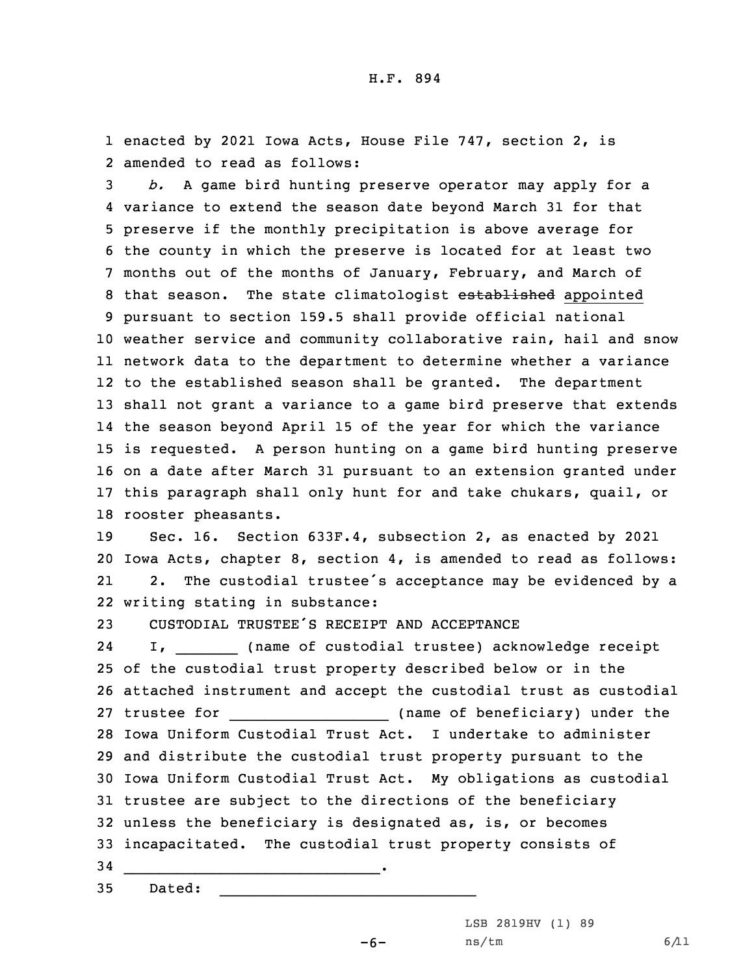1 enacted by 2021 Iowa Acts, House File 747, section 2, is 2 amended to read as follows:

 *b.* <sup>A</sup> game bird hunting preserve operator may apply for <sup>a</sup> variance to extend the season date beyond March 31 for that preserve if the monthly precipitation is above average for the county in which the preserve is located for at least two months out of the months of January, February, and March of 8 that season. The state climatologist established appointed pursuant to section 159.5 shall provide official national weather service and community collaborative rain, hail and snow network data to the department to determine whether <sup>a</sup> variance to the established season shall be granted. The department shall not grant <sup>a</sup> variance to <sup>a</sup> game bird preserve that extends the season beyond April 15 of the year for which the variance is requested. <sup>A</sup> person hunting on <sup>a</sup> game bird hunting preserve on <sup>a</sup> date after March 31 pursuant to an extension granted under this paragraph shall only hunt for and take chukars, quail, or rooster pheasants.

19 Sec. 16. Section 633F.4, subsection 2, as enacted by 2021 20 Iowa Acts, chapter 8, section 4, is amended to read as follows: 21 2. The custodial trustee's acceptance may be evidenced by <sup>a</sup> 22 writing stating in substance:

23 CUSTODIAL TRUSTEE'S RECEIPT AND ACCEPTANCE

\_\_\_\_\_\_\_\_\_\_\_\_\_\_\_\_\_\_\_\_\_\_\_\_\_\_\_\_\_.

2424 I, 1. 2012 (name of custodial trustee) acknowledge receipt of the custodial trust property described below or in the attached instrument and accept the custodial trust as custodial trustee for \_\_\_\_\_\_\_\_\_\_\_\_\_\_\_\_\_\_ (name of beneficiary) under the Iowa Uniform Custodial Trust Act. I undertake to administer and distribute the custodial trust property pursuant to the Iowa Uniform Custodial Trust Act. My obligations as custodial trustee are subject to the directions of the beneficiary unless the beneficiary is designated as, is, or becomes incapacitated. The custodial trust property consists of 34

35 Dated:

LSB 2819HV (1) 89

 $-6-$ 

 $\overline{\phantom{a}}$  , and the set of the set of the set of the set of the set of the set of the set of the set of the set of the set of the set of the set of the set of the set of the set of the set of the set of the set of the s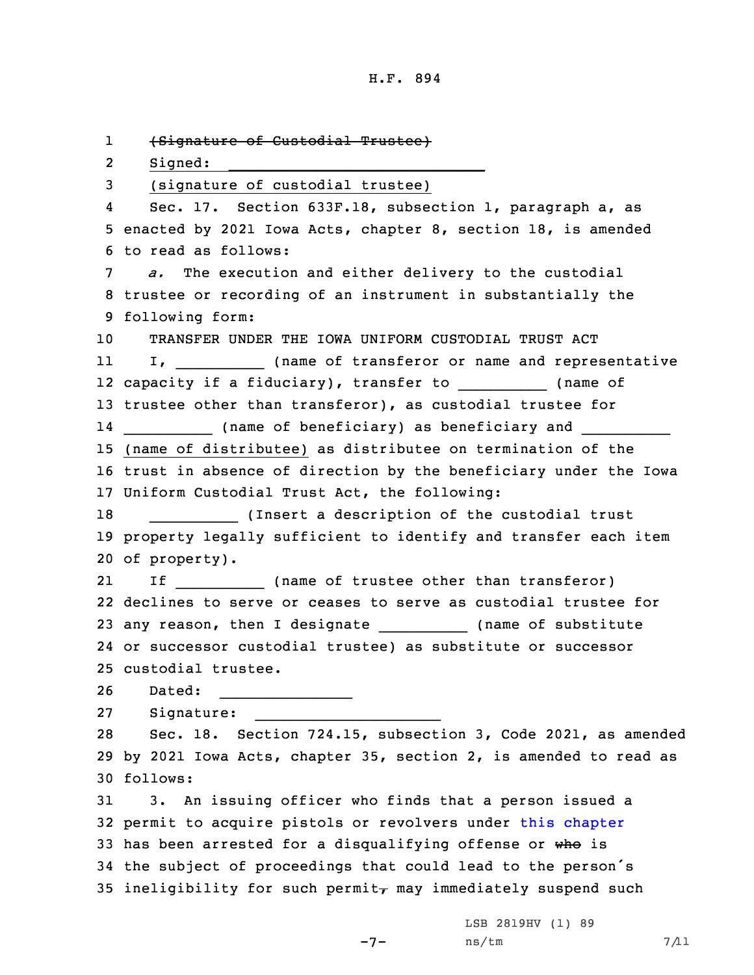1 (Signature of Custodial Trustee) 2 Signed:  $\_$  , and the set of the set of the set of the set of the set of the set of the set of the set of the set of the set of the set of the set of the set of the set of the set of the set of the set of the set of the set of th 3 (signature of custodial trustee) 4 Sec. 17. Section 633F.18, subsection 1, paragraph a, as 5 enacted by 2021 Iowa Acts, chapter 8, section 18, is amended 6 to read as follows: 7 *a.* The execution and either delivery to the custodial 8 trustee or recording of an instrument in substantially the 9 following form: 10 TRANSFER UNDER THE IOWA UNIFORM CUSTODIAL TRUST ACT 11 I, I, (name of transferor or name and representative 12 capacity if a fiduciary), transfer to \_\_\_\_\_\_\_\_\_\_\_\_ (name of 13 trustee other than transferor), as custodial trustee for 14 \_\_\_\_\_\_\_\_\_\_\_\_\_ (name of beneficiary) as beneficiary and \_\_\_\_\_\_\_\_\_\_\_\_\_\_\_\_\_\_\_\_\_\_ 15 (name of distributee) as distributee on termination of the 16 trust in absence of direction by the beneficiary under the Iowa 17 Uniform Custodial Trust Act, the following: 18 \_\_\_\_\_\_\_\_\_\_ (Insert <sup>a</sup> description of the custodial trust 19 property legally sufficient to identify and transfer each item 20 of property). 21 If If (name of trustee other than transferor) 22 declines to serve or ceases to serve as custodial trustee for 23 any reason, then I designate \_\_\_\_\_\_\_\_\_\_\_\_ (name of substitute 24 or successor custodial trustee) as substitute or successor 25 custodial trustee. 26 Dated:  $\overline{\phantom{a}}$  , where the contract of the contract of the contract of the contract of the contract of the contract of the contract of the contract of the contract of the contract of the contract of the contract of the contr 27 Signature:  $\frac{1}{2}$  , and the set of the set of the set of the set of the set of the set of the set of the set of the set of the set of the set of the set of the set of the set of the set of the set of the set of the set of the set 28 Sec. 18. Section 724.15, subsection 3, Code 2021, as amended 29 by 2021 Iowa Acts, chapter 35, section 2, is amended to read as 30 follows: 31 3. An issuing officer who finds that <sup>a</sup> person issued <sup>a</sup> 32 permit to acquire pistols or revolvers under this [chapter](https://www.legis.iowa.gov/docs/code/2021/724.pdf) 33 has been arrested for a disqualifying offense or who is <sup>34</sup> the subject of proceedings that could lead to the person's 35 ineligibility for such permit<sub> $\tau$ </sub> may immediately suspend such

-7-

LSB 2819HV (1) 89  $ns/tm$  7/11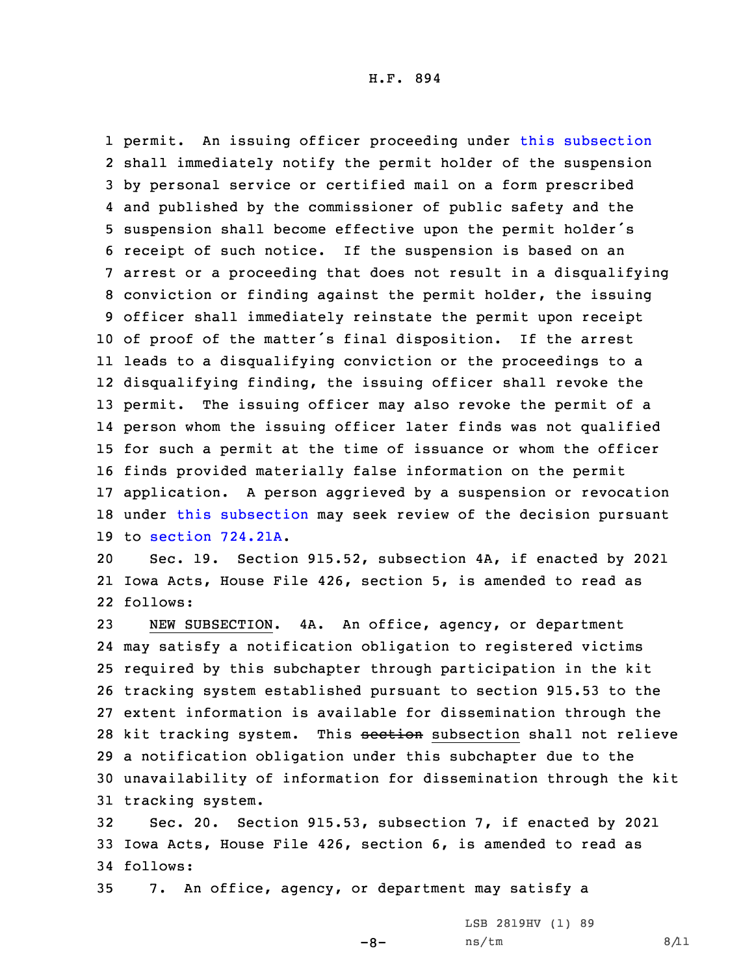permit. An issuing officer proceeding under this [subsection](https://www.legis.iowa.gov/docs/code/2021/724.15.pdf) shall immediately notify the permit holder of the suspension by personal service or certified mail on <sup>a</sup> form prescribed and published by the commissioner of public safety and the suspension shall become effective upon the permit holder's receipt of such notice. If the suspension is based on an arrest or <sup>a</sup> proceeding that does not result in <sup>a</sup> disqualifying conviction or finding against the permit holder, the issuing officer shall immediately reinstate the permit upon receipt of proof of the matter's final disposition. If the arrest leads to <sup>a</sup> disqualifying conviction or the proceedings to <sup>a</sup> disqualifying finding, the issuing officer shall revoke the permit. The issuing officer may also revoke the permit of <sup>a</sup> person whom the issuing officer later finds was not qualified for such <sup>a</sup> permit at the time of issuance or whom the officer finds provided materially false information on the permit application. <sup>A</sup> person aggrieved by <sup>a</sup> suspension or revocation 18 under this [subsection](https://www.legis.iowa.gov/docs/code/2021/724.15.pdf) may seek review of the decision pursuant to section [724.21A](https://www.legis.iowa.gov/docs/code/2021/724.21A.pdf).

20 Sec. 19. Section 915.52, subsection 4A, if enacted by 2021 21 Iowa Acts, House File 426, section 5, is amended to read as 22 follows:

 NEW SUBSECTION. 4A. An office, agency, or department may satisfy <sup>a</sup> notification obligation to registered victims required by this subchapter through participation in the kit tracking system established pursuant to section 915.53 to the extent information is available for dissemination through the 28 kit tracking system. This section subsection shall not relieve <sup>a</sup> notification obligation under this subchapter due to the unavailability of information for dissemination through the kit tracking system.

32 Sec. 20. Section 915.53, subsection 7, if enacted by 2021 33 Iowa Acts, House File 426, section 6, is amended to read as 34 follows:

 $-8-$ 

35 7. An office, agency, or department may satisfy <sup>a</sup>

LSB 2819HV (1) 89  $ns/tm$  8/11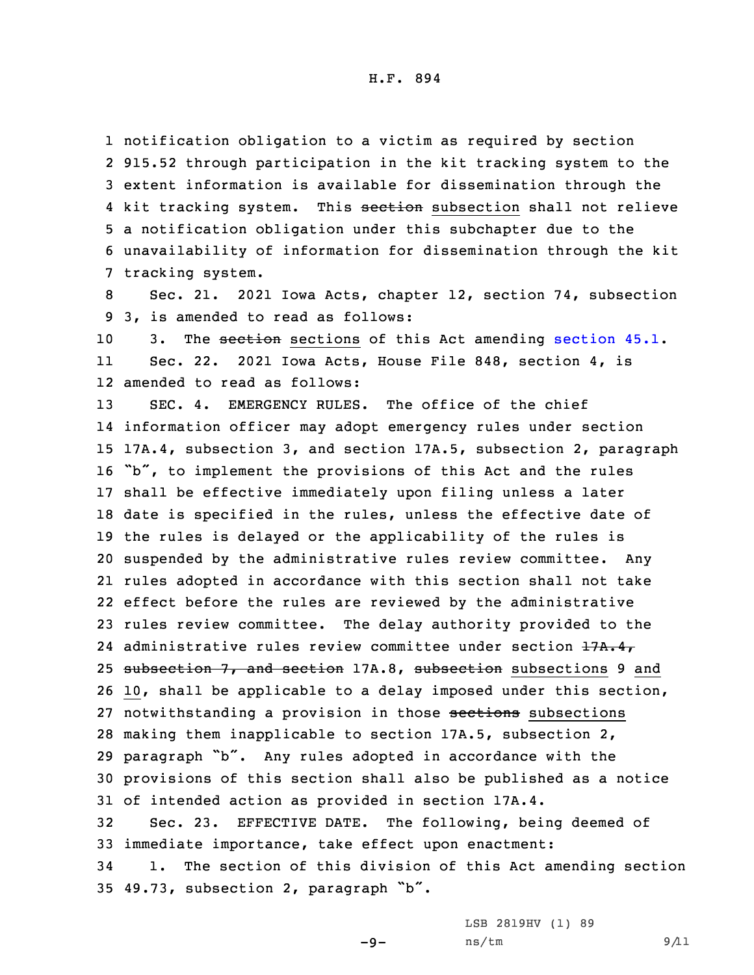notification obligation to <sup>a</sup> victim as required by section 915.52 through participation in the kit tracking system to the extent information is available for dissemination through the 4 kit tracking system. This <del>section</del> subsection shall not relieve <sup>a</sup> notification obligation under this subchapter due to the unavailability of information for dissemination through the kit tracking system.

8 Sec. 21. 2021 Iowa Acts, chapter 12, section 74, subsection 9 3, is amended to read as follows:

10 3. The [section](https://www.legis.iowa.gov/docs/code/2021/45.1.pdf) sections of this Act amending section 45.1. 11 Sec. 22. 2021 Iowa Acts, House File 848, section 4, is 12 amended to read as follows:

13 SEC. 4. EMERGENCY RULES. The office of the chief information officer may adopt emergency rules under section 17A.4, subsection 3, and section 17A.5, subsection 2, paragraph "b", to implement the provisions of this Act and the rules shall be effective immediately upon filing unless <sup>a</sup> later date is specified in the rules, unless the effective date of the rules is delayed or the applicability of the rules is suspended by the administrative rules review committee. Any rules adopted in accordance with this section shall not take effect before the rules are reviewed by the administrative rules review committee. The delay authority provided to the 24 administrative rules review committee under section 17A.4, 25 subsection 7, and section 17A.8, subsection subsections 9 and 10, shall be applicable to <sup>a</sup> delay imposed under this section, 27 notwithstanding a provision in those sections subsections making them inapplicable to section 17A.5, subsection 2, paragraph "b". Any rules adopted in accordance with the provisions of this section shall also be published as <sup>a</sup> notice of intended action as provided in section 17A.4. Sec. 23. EFFECTIVE DATE. The following, being deemed of immediate importance, take effect upon enactment: 1. The section of this division of this Act amending section

<sup>35</sup> 49.73, subsection 2, paragraph "b".

LSB 2819HV (1) 89

 $-9-$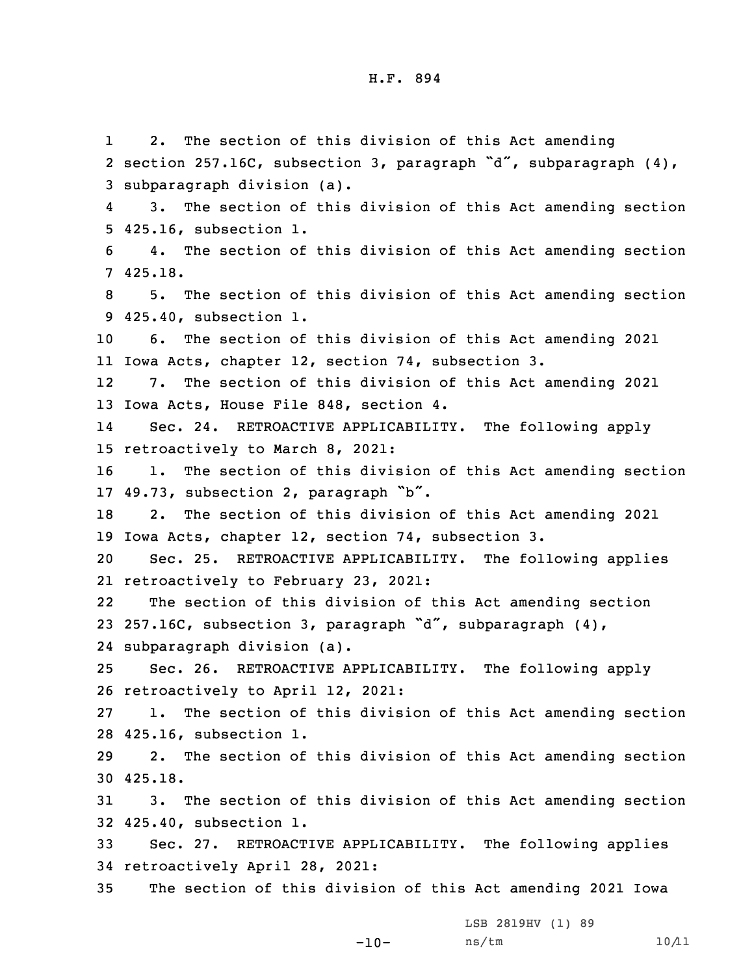1 2. The section of this division of this Act amending section 257.16C, subsection 3, paragraph "d", subparagraph (4), subparagraph division (a). 4 3. The section of this division of this Act amending section 425.16, subsection 1. 4. The section of this division of this Act amending section 7 425.18. 5. The section of this division of this Act amending section 425.40, subsection 1. 6. The section of this division of this Act amending 2021 Iowa Acts, chapter 12, section 74, subsection 3. 12 7. The section of this division of this Act amending 2021 Iowa Acts, House File 848, section 4. 14 Sec. 24. RETROACTIVE APPLICABILITY. The following apply retroactively to March 8, 2021: 1. The section of this division of this Act amending section 49.73, subsection 2, paragraph "b". 2. The section of this division of this Act amending 2021 Iowa Acts, chapter 12, section 74, subsection 3. Sec. 25. RETROACTIVE APPLICABILITY. The following applies retroactively to February 23, 2021: 22 The section of this division of this Act amending section 257.16C, subsection 3, paragraph "d", subparagraph (4), subparagraph division (a). Sec. 26. RETROACTIVE APPLICABILITY. The following apply retroactively to April 12, 2021: 1. The section of this division of this Act amending section 425.16, subsection 1. 2. The section of this division of this Act amending section 30 425.18. 3. The section of this division of this Act amending section 425.40, subsection 1. Sec. 27. RETROACTIVE APPLICABILITY. The following applies retroactively April 28, 2021: The section of this division of this Act amending 2021 Iowa

LSB 2819HV (1) 89

 $-10-$